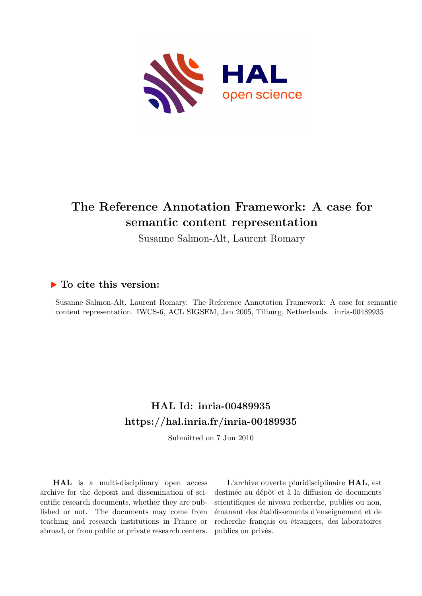

# **The Reference Annotation Framework: A case for semantic content representation**

Susanne Salmon-Alt, Laurent Romary

## **To cite this version:**

Susanne Salmon-Alt, Laurent Romary. The Reference Annotation Framework: A case for semantic content representation. IWCS-6, ACL SIGSEM, Jan 2005, Tilburg, Netherlands. inria-00489935

## **HAL Id: inria-00489935 <https://hal.inria.fr/inria-00489935>**

Submitted on 7 Jun 2010

**HAL** is a multi-disciplinary open access archive for the deposit and dissemination of scientific research documents, whether they are published or not. The documents may come from teaching and research institutions in France or abroad, or from public or private research centers.

L'archive ouverte pluridisciplinaire **HAL**, est destinée au dépôt et à la diffusion de documents scientifiques de niveau recherche, publiés ou non, émanant des établissements d'enseignement et de recherche français ou étrangers, des laboratoires publics ou privés.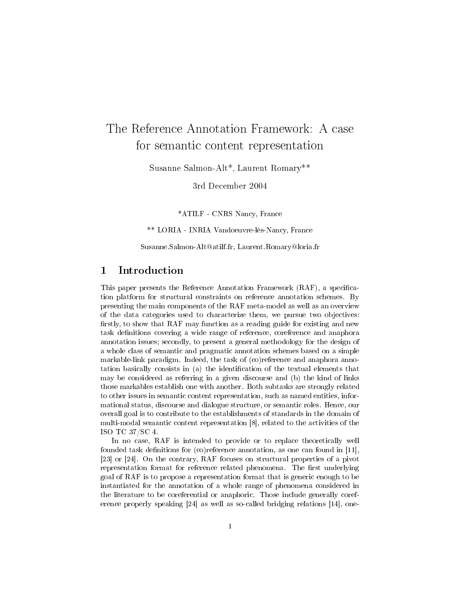## The Reference Annotation Framework: A case for semantic content representation

Susanne Salmon-Alt\*, Laurent Romary\*\*

3rd December 2004

\*ATILF - CNRS Nancy, France

\*\* LORIA - INRIA Vandoeuvre-lès-Nancy, France

Susanne.Salmon-Alt@atilf.fr, Laurent.Romary@loria.fr

#### Introduction  $\mathbf{1}$

This paper presents the Reference Annotation Framework (RAF), a specification platform for structural constraints on reference annotation schemes. By presenting the main components of the RAF meta-model as well as an overview of the data categories used to characterize them, we pursue two objectives: firstly, to show that RAF may function as a reading guide for existing and new task definitions covering a wide range of reference, coreference and anaphora annotation issues; secondly, to present a general methodology for the design of a whole class of semantic and pragmatic annotation schemes based on a simple markable-link paradigm. Indeed, the task of (co)reference and anaphora annotation basically consists in (a) the identification of the textual elements that may be considered as referring in a given discourse and (b) the kind of links those markables establish one with another. Both subtasks are strongly related to other issues in semantic content representation, such as named entities, informational status, discourse and dialogue structure, or semantic roles. Hence, our overall goal is to contribute to the establishments of standards in the domain of multi-modal semantic content representation [8], related to the activities of the ISO TC 37/SC 4.

In no case, RAF is intended to provide or to replace theoretically well founded task definitions for  $(c)$  reference annotation, as one can found in [11], [23] or [24]. On the contrary, RAF focuses on structural properties of a pivot representation format for reference related phenomena. The first underlying goal of RAF is to propose a representation format that is generic enough to be instantiated for the annotation of a whole range of phenomena considered in the literature to be coreferential or anaphoric. Those include generally coreerence properly speaking  $[24]$  as well as so-called bridging relations  $[14]$ , one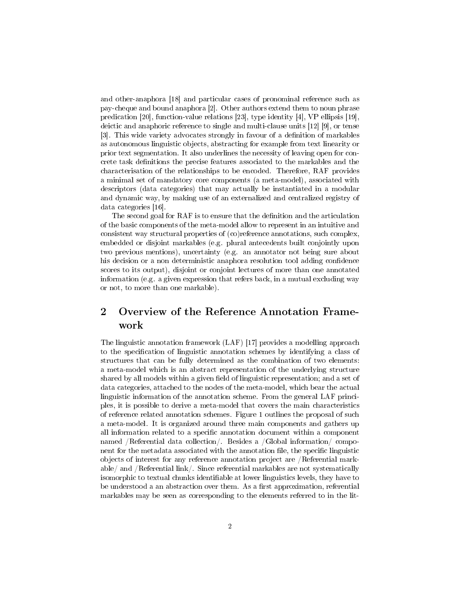and other-anaphora [18] and particular cases of pronominal reference such as pay-cheque and bound anaphora [2]. Other authors extend them to noun phrase predication [20], function-value relations [23], type identity [4], VP ellipsis [19], deictic and anaphoric reference to single and multi-clause units  $[12]$  [9], or tense [3]. This wide variety advocates strongly in favour of a definition of markables as autonomous linguistic objects, abstracting for example from text linearity or prior text segmentation. It also underlines the necessity of leaving open for concrete task definitions the precise features associated to the markables and the characterisation of the relationships to be encoded. Therefore, RAF provides a minimal set of mandatory core components (a meta-model), associated with descriptors (data categories) that may actually be instantiated in a modular and dynamic way, by making use of an externalized and centralized registry of data categories  $[16]$ .

The second goal for RAF is to ensure that the definition and the articulation of the basic components of the meta-model allow to represent in an intuitive and consistent way structural properties of (co)reference annotations, such complex, embedded or disjoint markables (e.g. plural antecedents built conjointly upon two previous mentions), uncertainty (e.g. an annotator not being sure about his decision or a non deterministic anaphora resolution tool adding confidence scores to its output), disjoint or conjoint lectures of more than one annotated information (e.g. a given expression that refers back, in a mutual excluding way or not, to more than one markable).

### $\overline{2}$ Overview of the Reference Annotation Framework

The linguistic annotation framework (LAF) [17] provides a modelling approach to the specification of linguistic annotation schemes by identifying a class of structures that can be fully determined as the combination of two elements: a meta-model which is an abstract representation of the underlying structure shared by all models within a given field of linguistic representation; and a set of data categories, attached to the nodes of the meta-model, which bear the actual linguistic information of the annotation scheme. From the general LAF principles, it is possible to derive a meta-model that covers the main characteristics of reference related annotation schemes. Figure 1 outlines the proposal of such a meta-model. It is organized around three main components and gathers up all information related to a specific annotation document within a component named /Referential data collection/. Besides a /Global information/ component for the metadata associated with the annotation file, the specific linguistic objects of interest for any reference annotation project are /Referential markable/ and /Referential link/. Since referential markables are not systematically isomorphic to textual chunks identifiable at lower linguistics levels, they have to be understood a an abstraction over them. As a first approximation, referential markables may be seen as corresponding to the elements referred to in the lit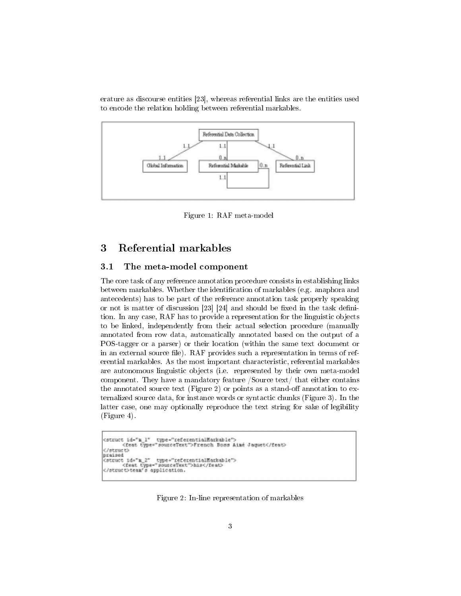erature as discourse entities [23], whereas referential links are the entities used to encode the relation holding between referential markables.



Figure 1: RAF meta-model

#### Referential markables 3

#### $3.1$ The meta-model component

The core task of any reference annotation procedure consists in establishing links between markables. Whether the identification of markables (e.g. anaphora and antecedents) has to be part of the reference annotation task properly speaking or not is matter of discussion [23] [24] and should be fixed in the task definition. In any case, RAF has to provide a representation for the linguistic objects to be linked, independently from their actual selection procedure (manually annotated from row data, automatically annotated based on the output of a POS-tagger or a parser) or their location (within the same text document or in an external source file). RAF provides such a representation in terms of referential markables. As the most important characteristic, referential markables are autonomous linguistic objects (i.e. represented by their own meta-model component. They have a mandatory feature /Source text/ that either contains the annotated source text (Figure 2) or points as a stand-off annotation to externalized source data, for instance words or syntactic chunks (Figure 3). In the latter case, one may optionally reproduce the text string for sake of legibility  $(Figure 4)$ .

```
cstruct id-"m l" type="referentialMarkable">
        <feat type="sourceText">French Boss Aimé Jaquet</feat>
</struct>
praised
praises<br><br/> de"s_2" type="referentialMarkable"><br></br://dest type="sourceText">his</feat><//feat>
```
Figure 2: In-line representation of markables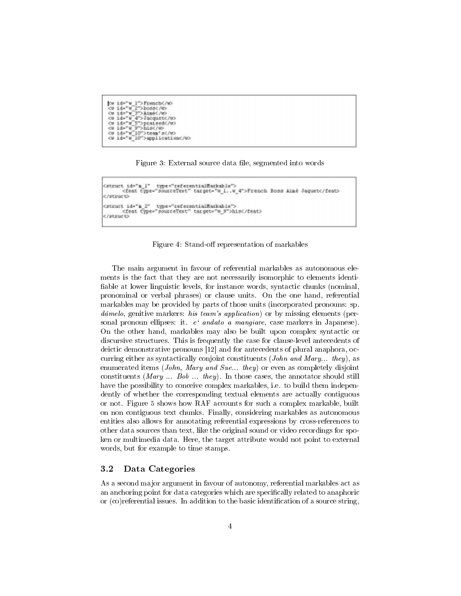```
|Cu id="u_1">French</to<br>|Cu id="u_2">boss</to<br>|Cu id="u_3">Aimé</to<br>|Cu id="u_4">Jacquet</to
cu id="w_5">praised</w>cu id="w_9">his</w>cu
cw id-"w 10">application</w>
```


```
(struct id="m_1" type="referentialMarkable"><br><feat type="sourceText" target="w_1..w_4">French Boss Aimé Jaquet</feat>
c/structo
cstruct id="m_2" type="referentialMarkable"><br><feat type="sourceText" target="w_9">his</feat>
</atruct>
```
Figure 4: Stand-off representation of markables

The main argument in favour of referential markables as autonomous elements is the fact that they are not necessarily isomorphic to elements identifiable at lower linguistic levels, for instance words, syntactic chunks (nominal, pronominal or verbal phrases) or clause units. On the one hand, referential markables may be provided by parts of those units (incorporated pronouns: sp.  $d\acute{a}melo$ , genitive markers: *his team's application*) or by missing elements (personal pronoun ellipses: it. e' andato a mangiare, case markers in Japanese). On the other hand, markables may also be built upon complex syntactic or discursive structures. This is frequently the case for clause-level antecedents of deictic demonstrative pronouns [12] and for antecedents of plural anaphora, occurring either as syntactically conjoint constituents (*John and Mary... they*), as enumerated items (*John*, *Mary and Sue... they*) or even as completely disjoint constituents (*Mary* ... *Bob* ... *they*). In those cases, the annotator should still have the possibility to conceive complex markables, i.e. to build them independently of whether the corresponding textual elements are actually contiguous or not. Figure 5 shows how RAF accounts for such a complex markable, built on non contiguous text chunks. Finally, considering markables as autonomous entities also allows for annotating referential expressions by cross-references to other data sources than text, like the original sound or video recordings for spoken or multimedia data. Here, the target attribute would not point to external words, but for example to time stamps.

#### $3.2$ Data Categories

As a second major argument in favour of autonomy, referential markables act as an anchoring point for data categories which are specifically related to anaphoric or (co) referential issues. In addition to the basic identification of a source string,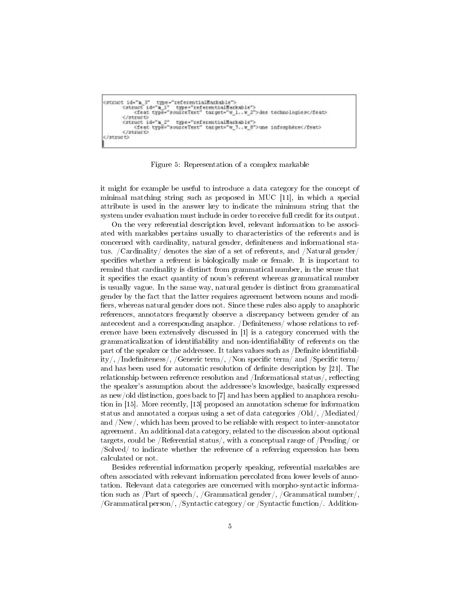```
(stract id="m 3" type="referentialMarkable"><br><struct id="m_1" type="referentialMarkable"><br><feat type="sourceText" target="w_1..w_2">des technologies</feat>
         </struct>
         </struct_id="m_2" type="referentialMarkable">
              <feat type="sourceText" target="w 7..w 0">une inforphère</feat>
         </struct>
</struct>
```
Figure 5: Representation of a complex markable

it might for example be useful to introduce a data category for the concept of minimal matching string such as proposed in MUC [11], in which a special attribute is used in the answer key to indicate the minimum string that the system under evaluation must include in order to receive full credit for its output.

On the very referential description level, relevant information to be associated with markables pertains usually to characteristics of the referents and is concerned with cardinality, natural gender, definiteness and informational status. /Cardinality/ denotes the size of a set of referents, and /Natural gender/ specifies whether a referent is biologically male or female. It is important to remind that cardinality is distinct from grammatical number, in the sense that it specifies the exact quantity of noun's referent whereas grammatical number is usually vague. In the same way, natural gender is distinct from grammatical gender by the fact that the latter requires agreement between nouns and modifiers, whereas natural gender does not. Since these rules also apply to anaphoric references, annotators frequently observe a discrepancy between gender of an antecedent and a corresponding anaphor. /Definiteness/ whose relations to reference have been extensively discussed in [1] is a category concerned with the grammaticalization of identifiability and non-identifiability of referents on the part of the speaker or the addressee. It takes values such as  $\sqrt{D}$  efinite identifiability/, /Indefiniteness/, /Generic term/, /Non specific term/ and /Specific term/ and has been used for automatic resolution of definite description by [21]. The relationship between reference resolution and /Informational status/, reflecting the speaker's assumption about the addressee's knowledge, basically expressed as new/old distinction, goes back to [7] and has been applied to anaphora resolution in [15]. More recently, [13] proposed an annotation scheme for information status and annotated a corpus using a set of data categories /Old/, /Mediated/ and  $\sqrt{New}$ , which has been proved to be reliable with respect to inter-annotator agreement. An additional data category, related to the discussion about optional targets, could be /Referential status/, with a conceptual range of /Pending/ or  $\sqrt{\text{Solved}}$  to indicate whether the reference of a referring expression has been calculated or not.

Besides referential information properly speaking, referential markables are often associated with relevant information percolated from lower levels of annotation. Relevant data categories are concerned with morpho-syntactic information such as  $/Part$  of speech/,  $/Grammatical gender/$ ,  $/Grammatical number/$ ,  $/Grammatical person/$ , /Syntactic category/ or /Syntactic function/. Addition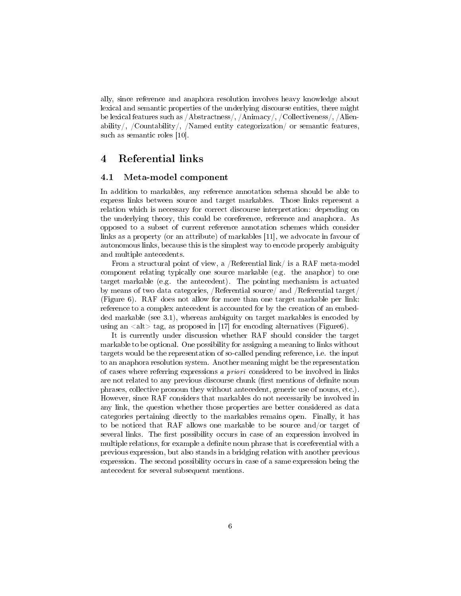ally, since reference and anaphora resolution involves heavy knowledge about lexical and semantic properties of the underlying discourse entities, there might be lexical features such as /Abstractness/, /Animacy/, /Collectiveness/, /Alienability/, /Countability/, /Named entity categorization/ or semantic features, such as semantic roles  $[10]$ .

#### Referential links  $\overline{\mathbf{4}}$

#### 4.1 Meta-model component

In addition to markables, any reference annotation schema should be able to express links between source and target markables. Those links represent a relation which is necessary for correct discourse interpretation: depending on the underlying theory, this could be coreference, reference and anaphora. As opposed to a subset of current reference annotation schemes which consider links as a property (or an attribute) of markables [11], we advocate in favour of autonomous links, because this is the simplest way to encode properly ambiguity and multiple antecedents.

From a structural point of view, a /Referential link/ is a RAF meta-model component relating typically one source markable (e.g. the anaphor) to one target markable (e.g. the antecedent). The pointing mechanism is actuated by means of two data categories, /Referential source/ and /Referential target/ (Figure 6). RAF does not allow for more than one target markable per link: reference to a complex antecedent is accounted for by the creation of an embedded markable (see 3.1), whereas ambiguity on target markables is encoded by using an  $\langle$ alt $>$  tag, as proposed in [17] for encoding alternatives (Figure6).

It is currently under discussion whether RAF should consider the target markable to be optional. One possibility for assigning a meaning to links without targets would be the representation of so-called pending reference, i.e. the input to an anaphora resolution system. Another meaning might be the representation of cases where referring expressions a priori considered to be involved in links are not related to any previous discourse chunk (first mentions of definite noun phrases, collective pronoun they without antecedent, generic use of nouns, etc.). However, since RAF considers that markables do not necessarily be involved in any link, the question whether those properties are better considered as data categories pertaining directly to the markables remains open. Finally, it has to be noticed that RAF allows one markable to be source and/or target of several links. The first possibility occurs in case of an expression involved in multiple relations, for example a definite noun phrase that is coreferential with a previous expression, but also stands in a bridging relation with another previous expression. The second possibility occurs in case of a same expression being the antecedent for several subsequent mentions.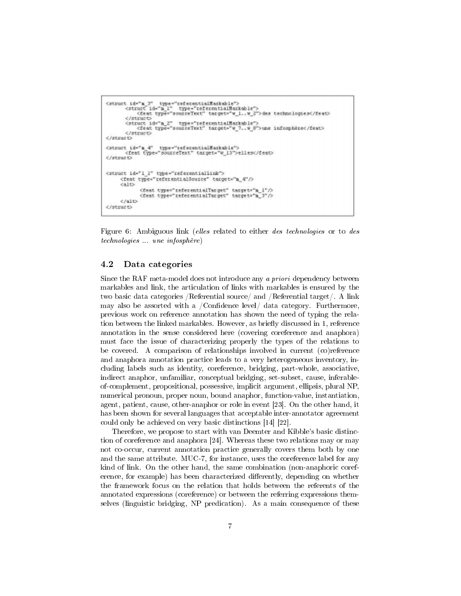```
<struct id="n_3" type="referentialMarkable"><br><struct id="n_1" type="referentialMarkable"><br><feat type="sourceText" target="w_1..w_2">des technologies</feat>
           c/atructo
          <br/>struct id="m_2" type="referentialNarkeble"><br><feat type="sourceText" target="w_?..w_8">une infosphère</feat>
           </struct>
</struct>
<struct_id="a_4" type="zeferentialMarkable"><br><feat type="sourceText" target="w_13">elles</feat>
</atruet>
<struct id="1 1" type="referentiallink">
       <feat type="referentialSource" target="m_4"/>
       <alt>
                  <feat type="referentialTarget" target="m_1"/><br><feat type="referentialTarget" target="m_3"/>
       C/6155</struct>
```
Figure 6: Ambiguous link (elles related to either des technologies or to des *technologies* une *infosphère*)

#### 4.2 Data categories

Since the RAF meta-model does not introduce any a priori dependency between markables and link, the articulation of links with markables is ensured by the two basic data categories /Referential source/ and /Referential target/. A link may also be assorted with a /Confidence level/ data category. Furthermore, previous work on reference annotation has shown the need of typing the relation between the linked markables. However, as briefly discussed in 1, reference annotation in the sense considered here (covering coreference and anaphora) must face the issue of characterizing properly the types of the relations to be covered. A comparison of relationships involved in current (co) reference and anaphora annotation practice leads to a very heterogeneous inventory, including labels such as identity, coreference, bridging, part-whole, associative, indirect anaphor, unfamiliar, conceptual bridging, set-subset, cause, inferableof-complement, propositional, possessive, implicit argument, ellipsis, plural NP, numerical pronoun, proper noun, bound anaphor, function-value, instantiation, agent, patient, cause, other-anaphor or role in event [23]. On the other hand, it has been shown for several languages that acceptable inter-annotator agreement could only be achieved on very basic distinctions [14] [22].

Therefore, we propose to start with van Deemter and Kibble's basic distinction of coreference and anaphora [24]. Whereas these two relations may or may not co-occur, current annotation practice generally covers them both by one and the same attribute. MUC-7, for instance, uses the coreference label for any kind of link. On the other hand, the same combination (non-anaphoric coreference, for example) has been characterized differently, depending on whether the framework focus on the relation that holds between the referents of the annotated expressions (coreference) or between the referring expressions themselves (linguistic bridging, NP predication). As a main consequence of these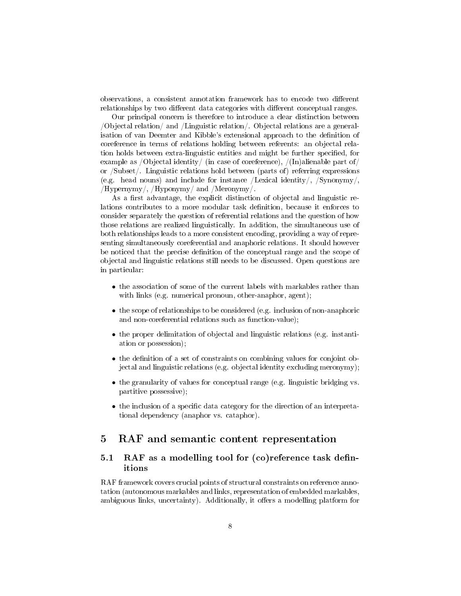observations, a consistent annotation framework has to encode two different relationships by two different data categories with different conceptual ranges.

Our principal concern is therefore to introduce a clear distinction between /Objectal relation/ and /Linguistic relation/. Objectal relations are a generalisation of van Deemter and Kibble's extensional approach to the definition of coreference in terms of relations holding between referents: an objectal relation holds between extra-linguistic entities and might be further specified, for example as /Objectal identity/ (in case of coreference), /(In)alienable part of/ or  $\sqrt{\text{Subset}}$ . Linguistic relations hold between (parts of) referring expressions (e.g. head nouns) and include for instance /Lexical identity/,  $\gamma$ /Synonymy/,  $/Hypernymy/$ ,  $/Hyponymy/$  and  $/Meronymy/$ .

As a first advantage, the explicit distinction of objectal and linguistic relations contributes to a more modular task definition, because it enforces to consider separately the question of referential relations and the question of how those relations are realized linguistically. In addition, the simultaneous use of both relationships leads to a more consistent encoding, providing a way of representing simultaneously coreferential and anaphoric relations. It should however be noticed that the precise definition of the conceptual range and the scope of objectal and linguistic relations still needs to be discussed. Open questions are in particular:

- the association of some of the current labels with markables rather than with links (e.g. numerical pronoun, other-anaphor, agent);
- the scope of relationships to be considered (e.g. inclusion of non-anaphoric and non-coreferential relations such as function-value);
- the proper delimitation of objectal and linguistic relations (e.g. instantiation or possession);
- the definition of a set of constraints on combining values for conjoint objectal and linguistic relations (e.g. objectal identity excluding meronymy);
- $\bullet$  the granularity of values for conceptual range (e.g. linguistic bridging vs. partitive possessive);
- the inclusion of a specific data category for the direction of an interpretational dependency (anaphor vs. cataphor).

#### RAF and semantic content representation  $\mathbf{5}$

### RAF as a modelling tool for (co)reference task defin- $5.1$ itions

RAF framework covers crucial points of structural constraints on reference annotation (autonomous markables and links, representation of embedded markables, ambiguous links, uncertainty). Additionally, it offers a modelling platform for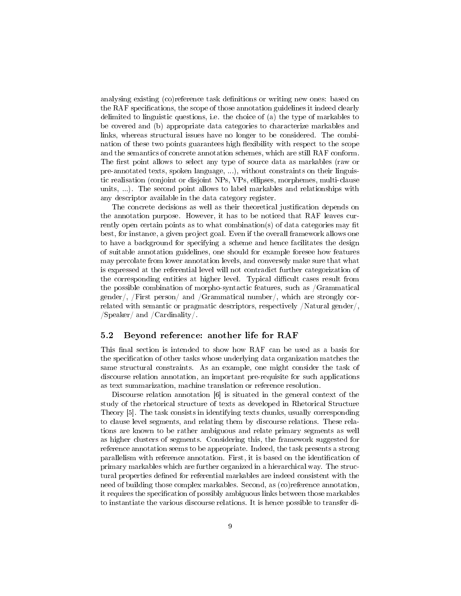analysing existing (co)reference task definitions or writing new ones: based on the RAF specifications, the scope of those annotation guidelines it indeed clearly delimited to linguistic questions, i.e. the choice of (a) the type of markables to be covered and (b) appropriate data categories to characterize markables and links, whereas structural issues have no longer to be considered. The combination of these two points guarantees high flexibility with respect to the scope and the semantics of concrete annotation schemes, which are still RAF conform. The first point allows to select any type of source data as markables (raw or pre-annotated texts, spoken language, ...), without constraints on their linguistic realisation (conjoint or disjoint NPs, VPs, ellipses, morphemes, multi-clause units, ...). The second point allows to label markables and relationships with any descriptor available in the data category register.

The concrete decisions as well as their theoretical justification depends on the annotation purpose. However, it has to be noticed that RAF leaves currently open certain points as to what combination(s) of data categories may fit best, for instance, a given project goal. Even if the overall framework allows one to have a background for specifying a scheme and hence facilitates the design of suitable annotation guidelines, one should for example foresee how features may percolate from lower annotation levels, and conversely make sure that what is expressed at the referential level will not contradict further categorization of the corresponding entities at higher level. Typical difficult cases result from the possible combination of morpho-syntactic features, such as Grammatical gender/, /First person/ and /Grammatical number/, which are strongly correlated with semantic or pragmatic descriptors, respectively /Natural gender/,  $\sqrt{\text{Speaker}}/\text{ and } \sqrt{\text{Cardinality}}/\text{.}$ 

#### $5.2$ Beyond reference: another life for RAF

This final section is intended to show how RAF can be used as a basis for the specification of other tasks whose underlying data organization matches the same structural constraints. As an example, one might consider the task of discourse relation annotation, an important pre-requisite for such applications as text summarization, machine translation or reference resolution.

Discourse relation annotation  $[6]$  is situated in the general context of the study of the rhetorical structure of texts as developed in Rhetorical Structure Theory [5]. The task consists in identifying texts chunks, usually corresponding to clause level segments, and relating them by discourse relations. These relations are known to be rather ambiguous and relate primary segments as well as higher clusters of segments. Considering this, the framework suggested for reference annotation seems to be appropriate. Indeed, the task presents a strong parallelism with reference annotation. First, it is based on the identification of primary markables which are further organized in a hierarchical way. The structural properties defined for referential markables are indeed consistent with the need of building those complex markables. Second, as (co)reference annotation, it requires the specification of possibly ambiguous links between those markables to instantiate the various discourse relations. It is hence possible to transfer di-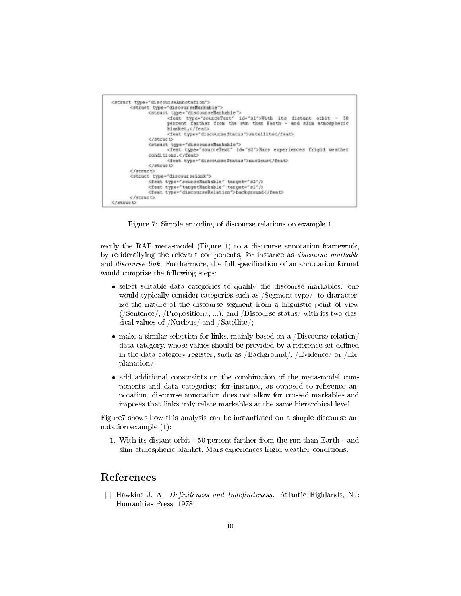

Figure 7: Simple encoding of discourse relations on example 1

rectly the RAF meta-model (Figure 1) to a discourse annotation framework, by re-identifying the relevant components, for instance as *discourse markable* and *discourse link*. Furthermore, the full specification of an annotation format would comprise the following steps:

- select suitable data categories to qualify the discourse markables: one  $\bullet$ would typically consider categories such as Segment type, to characterize the nature of the discourse segment from a linguistic point of view (Sentence),  $/$ Proposition $/$ , ...), and  $/$ Discourse status $/$  with its two classical values of /Nucleus/ and /Satellite/;
- make a similar selection for links, mainly based on a /Discourse relation/ data category, whose values should be provided by a reference set defined in the data category register, such as /Background/, /Evidence/ or /Ex $planation$ :
- add additional constraints on the combination of the meta-model components and data categories: for instance, as opposed to reference annotation, discourse annotation does not allow for crossed markables and imposes that links only relate markables at the same hierarchical level.

Figure 7 shows how this analysis can be instantiated on a simple discourse annotation example  $(1)$ :

1. With its distant orbit - 50 percent farther from the sun than Earth - and slim atmospheric blanket, Mars experiences frigid weather conditions.

### References

[1] Hawkins J. A. Definiteness and Indefiniteness. Atlantic Highlands, NJ: Humanities Press, 1978.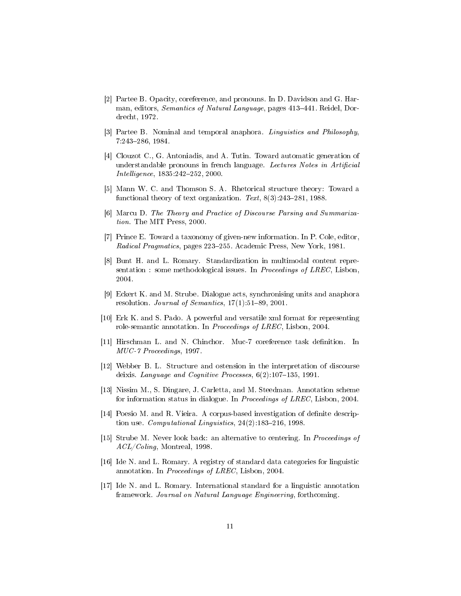- [2] Partee B. Opacity, coreference, and pronouns. In D. Davidson and G. Harman, editors, Semantics of Natural Language, pages 413-441. Reidel, Dordrecht, 1972.
- [3] Partee B. Nominal and temporal anaphora. Linguistics and Philosophy, 7:243-286, 1984.
- [4] Clouzot C., G. Antoniadis, and A. Tutin. Toward automatic generation of understandable pronouns in french language. Lectures Notes in Artificial  $Intelligence, 1835:242–252, 2000.$
- [5] Mann W. C. and Thomson S. A. Rhetorical structure theory: Toward a functional theory of text organization. Text,  $8(3):243-281$ , 1988.
- [6] Marcu D. The Theory and Practice of Discourse Parsing and Summarization. The MIT Press, 2000.
- [7] Prince E. Toward a taxonomy of given-new information. In P. Cole, editor, *Radical Pragmatics*, pages 223–255. Academic Press, New York, 1981.
- [8] Bunt H. and L. Romary. Standardization in multimodal content representation: some methodological issues. In *Proceedings of LREC*, Lisbon, 2004.
- [9] Eckert K. and M. Strube. Dialogue acts, synchronising units and anaphora resolution. *Journal of Semantics*,  $17(1):51-89$ , 2001.
- [10] Erk K. and S. Pado. A powerful and versatile xml format for representing role-semantic annotation. In *Proceedings of LREC*, Lisbon, 2004.
- [11] Hirschman L. and N. Chinchor. Muc-7 coreference task definition. In MUC-7 Proceedings, 1997.
- [12] Webber B. L. Structure and ostension in the interpretation of discourse deixis. Language and Cognitive Processes,  $6(2)$ :107-135, 1991.
- [13] Nissim M., S. Dingare, J. Carletta, and M. Steedman. Annotation scheme for information status in dialogue. In *Proceedings of LREC*, Lisbon, 2004.
- [14] Poesio M. and R. Vieira. A corpus-based investigation of definite description use. *Computational Linguistics*,  $24(2)$ :183-216, 1998.
- [15] Strube M. Never look back: an alternative to centering. In Proceedings of  $\mathit{ACL/Coling}$ , Montreal, 1998.
- [16] Ide N. and L. Romary. A registry of standard data categories for linguistic annotation. In Proceedings of LREC, Lisbon, 2004.
- [17] Ide N. and L. Romary. International standard for a linguistic annotation framework. Journal on Natural Language Engineering, forthcoming.